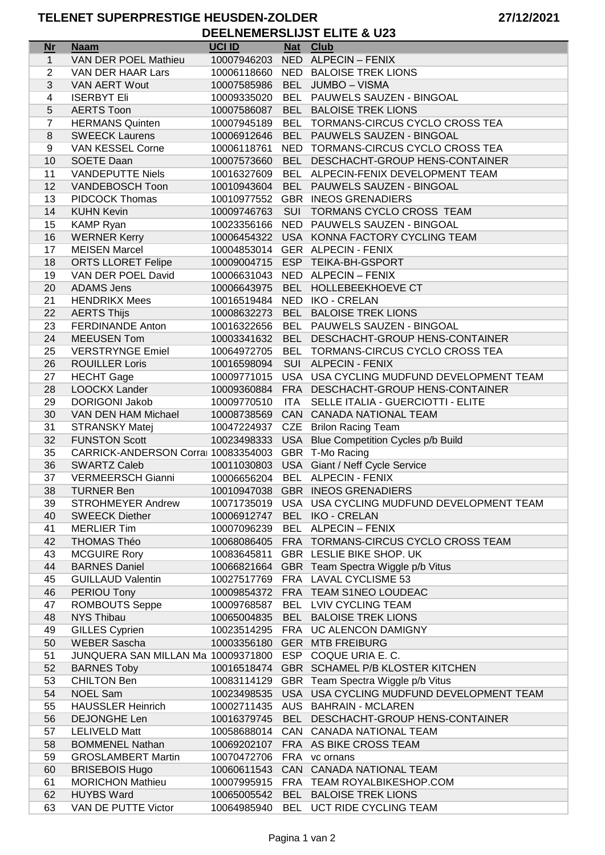| <b>Nr</b>      | <b>Naam</b>                                             | <b>UCI ID</b> | <b>Nat</b> | <b>Club</b>                                                        |
|----------------|---------------------------------------------------------|---------------|------------|--------------------------------------------------------------------|
| $\mathbf{1}$   | VAN DER POEL Mathieu                                    | 10007946203   |            | NED ALPECIN - FENIX                                                |
| $\overline{2}$ | VAN DER HAAR Lars                                       | 10006118660   |            | NED BALOISE TREK LIONS                                             |
| 3              | VAN AERT Wout                                           | 10007585986   | <b>BEL</b> | JUMBO - VISMA                                                      |
| 4              | <b>ISERBYT Eli</b>                                      | 10009335020   |            | BEL PAUWELS SAUZEN - BINGOAL                                       |
| 5              | <b>AERTS Toon</b>                                       | 10007586087   |            | BEL BALOISE TREK LIONS                                             |
| $\overline{7}$ | <b>HERMANS Quinten</b>                                  | 10007945189   |            | BEL TORMANS-CIRCUS CYCLO CROSS TEA                                 |
| 8              | <b>SWEECK Laurens</b>                                   | 10006912646   |            | BEL PAUWELS SAUZEN - BINGOAL                                       |
| 9              | VAN KESSEL Corne                                        | 10006118761   |            | NED TORMANS-CIRCUS CYCLO CROSS TEA                                 |
| 10             | SOETE Daan                                              | 10007573660   |            | BEL DESCHACHT-GROUP HENS-CONTAINER                                 |
|                |                                                         |               |            |                                                                    |
| 11             | <b>VANDEPUTTE Niels</b>                                 | 10016327609   |            | BEL ALPECIN-FENIX DEVELOPMENT TEAM<br>BEL PAUWELS SAUZEN - BINGOAL |
| 12             | VANDEBOSCH Toon                                         | 10010943604   |            |                                                                    |
| 13             | <b>PIDCOCK Thomas</b>                                   | 10010977552   |            | <b>GBR INEOS GRENADIERS</b>                                        |
| 14             | <b>KUHN Kevin</b>                                       | 10009746763   | <b>SUI</b> | TORMANS CYCLO CROSS TEAM                                           |
| 15             | <b>KAMP Ryan</b>                                        | 10023356166   |            | NED PAUWELS SAUZEN - BINGOAL                                       |
| 16             | <b>WERNER Kerry</b>                                     | 10006454322   |            | USA KONNA FACTORY CYCLING TEAM                                     |
| 17             | <b>MEISEN Marcel</b>                                    | 10004853014   |            | GER ALPECIN - FENIX                                                |
| 18             | <b>ORTS LLORET Felipe</b>                               | 10009004715   |            | ESP TEIKA-BH-GSPORT                                                |
| 19             | VAN DER POEL David                                      | 10006631043   |            | NED ALPECIN - FENIX                                                |
| 20             | <b>ADAMS Jens</b>                                       | 10006643975   |            | BEL HOLLEBEEKHOEVE CT                                              |
| 21             | <b>HENDRIKX Mees</b>                                    | 10016519484   |            | NED IKO - CRELAN                                                   |
| 22             | <b>AERTS Thijs</b>                                      | 10008632273   |            | BEL BALOISE TREK LIONS                                             |
| 23             | <b>FERDINANDE Anton</b>                                 | 10016322656   |            | BEL PAUWELS SAUZEN - BINGOAL                                       |
| 24             | <b>MEEUSEN Tom</b>                                      | 10003341632   |            | BEL DESCHACHT-GROUP HENS-CONTAINER                                 |
| 25             | <b>VERSTRYNGE Emiel</b>                                 | 10064972705   |            | BEL TORMANS-CIRCUS CYCLO CROSS TEA                                 |
| 26             | <b>ROUILLER Loris</b>                                   | 10016598094   |            | SUI ALPECIN - FENIX                                                |
| 27             | <b>HECHT</b> Gage                                       | 10009771015   |            | USA USA CYCLING MUDFUND DEVELOPMENT TEAM                           |
| 28             | LOOCKX Lander                                           | 10009360884   |            | FRA DESCHACHT-GROUP HENS-CONTAINER                                 |
| 29             | <b>DORIGONI Jakob</b>                                   | 10009770510   | <b>ITA</b> | SELLE ITALIA - GUERCIOTTI - ELITE                                  |
| 30             | VAN DEN HAM Michael                                     | 10008738569   |            | CAN CANADA NATIONAL TEAM                                           |
| 31             | <b>STRANSKY Matej</b>                                   | 10047224937   |            | CZE Brilon Racing Team                                             |
| 32             | <b>FUNSTON Scott</b>                                    | 10023498333   |            | USA Blue Competition Cycles p/b Build                              |
| 35             | CARRICK-ANDERSON Corral 10083354003                     |               |            | GBR T-Mo Racing                                                    |
| 36             | <b>SWARTZ Caleb</b>                                     | 10011030803   |            | USA Giant / Neff Cycle Service                                     |
| 37             | <b>VERMEERSCH Gianni</b>                                | 10006656204   |            | BEL ALPECIN - FENIX                                                |
| 38             | <b>TURNER Ben</b>                                       |               |            | 10010947038 GBR INEOS GRENADIERS                                   |
| 39             | <b>STROHMEYER Andrew</b>                                |               |            | 10071735019 USA USA CYCLING MUDFUND DEVELOPMENT TEAM               |
| 40             | <b>SWEECK Diether</b>                                   | 10006912747   |            | BEL IKO - CRELAN                                                   |
|                |                                                         |               |            |                                                                    |
| 41             | <b>MERLIER Tim</b>                                      | 10007096239   |            | BEL ALPECIN - FENIX                                                |
| 42             | THOMAS Théo                                             |               |            | 10068086405 FRA TORMANS-CIRCUS CYCLO CROSS TEAM                    |
| 43             | <b>MCGUIRE Rory</b>                                     | 10083645811   |            | GBR LESLIE BIKE SHOP. UK                                           |
| 44             | <b>BARNES Daniel</b>                                    |               |            | 10066821664 GBR Team Spectra Wiggle p/b Vitus                      |
| 45             | <b>GUILLAUD Valentin</b>                                |               |            | 10027517769 FRA LAVAL CYCLISME 53                                  |
| 46             | PERIOU Tony                                             |               |            | 10009854372 FRA TEAM S1NEO LOUDEAC                                 |
| 47             | <b>ROMBOUTS Seppe</b>                                   | 10009768587   |            | BEL LVIV CYCLING TEAM                                              |
| 48             | <b>NYS Thibau</b>                                       |               |            | 10065004835 BEL BALOISE TREK LIONS                                 |
| 49             | <b>GILLES Cyprien</b>                                   |               |            | 10023514295 FRA UC ALENCON DAMIGNY                                 |
| 50             | <b>WEBER Sascha</b>                                     |               |            | 10003356180 GER MTB FREIBURG                                       |
| 51             | JUNQUERA SAN MILLAN Ma 10009371800 ESP COQUE URIA E. C. |               |            |                                                                    |
| 52             | <b>BARNES Toby</b>                                      |               |            | 10016518474 GBR SCHAMEL P/B KLOSTER KITCHEN                        |
| 53             | <b>CHILTON Ben</b>                                      | 10083114129   |            | GBR Team Spectra Wiggle p/b Vitus                                  |
| 54             | <b>NOEL Sam</b>                                         |               |            | 10023498535 USA USA CYCLING MUDFUND DEVELOPMENT TEAM               |
| 55             | <b>HAUSSLER Heinrich</b>                                |               |            | 10002711435 AUS BAHRAIN - MCLAREN                                  |
| 56             | <b>DEJONGHE Len</b>                                     | 10016379745   |            | BEL DESCHACHT-GROUP HENS-CONTAINER                                 |
| 57             | <b>LELIVELD Matt</b>                                    | 10058688014   |            | CAN CANADA NATIONAL TEAM                                           |
| 58             | <b>BOMMENEL Nathan</b>                                  | 10069202107   |            | FRA AS BIKE CROSS TEAM                                             |
| 59             | <b>GROSLAMBERT Martin</b>                               | 10070472706   |            | FRA vc ornans                                                      |
| 60             | <b>BRISEBOIS Hugo</b>                                   | 10060611543   |            | CAN CANADA NATIONAL TEAM                                           |
| 61             | <b>MORICHON Mathieu</b>                                 |               |            | 10007995915 FRA TEAM ROYALBIKESHOP.COM                             |
| 62             | <b>HUYBS Ward</b>                                       |               |            | 10065005542 BEL BALOISE TREK LIONS                                 |
| 63             | VAN DE PUTTE Victor                                     |               |            | 10064985940 BEL UCT RIDE CYCLING TEAM                              |